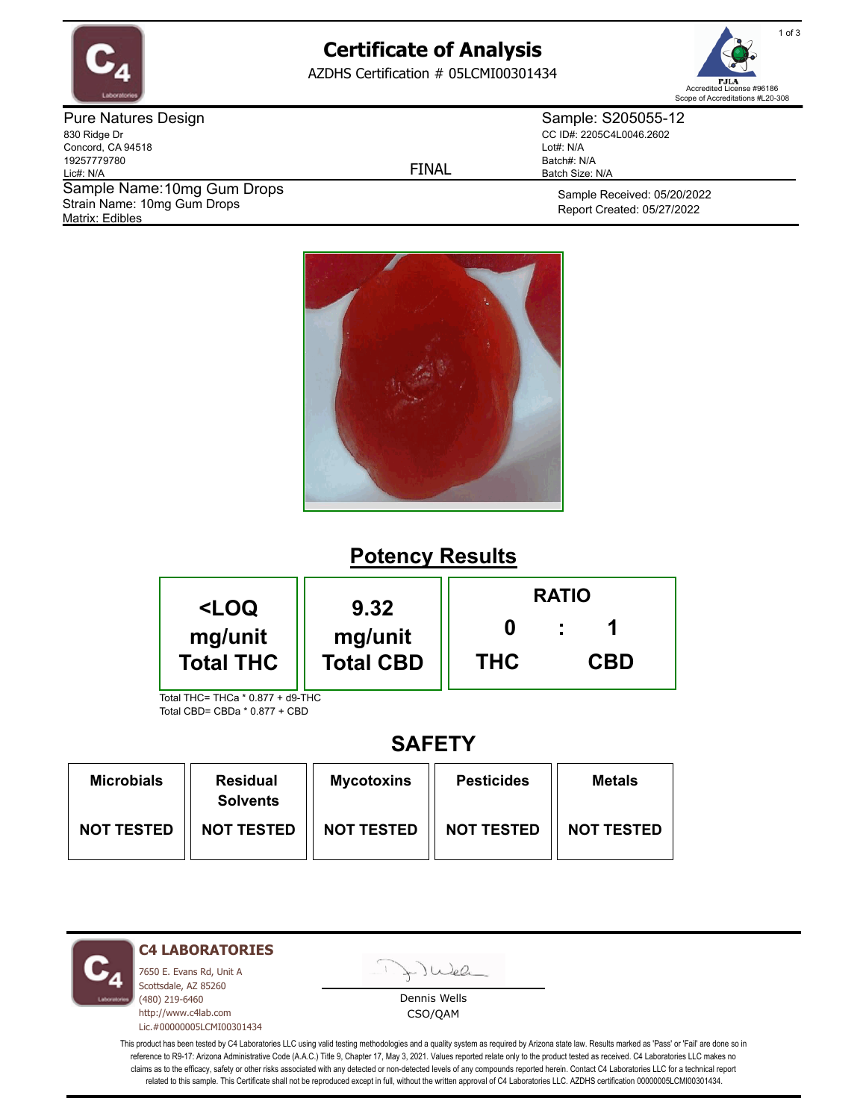

# **Certificate of Analysis**

AZDHS Certification # 05LCMI00301434



Pure Natures Design 830 Ridge Dr Concord, CA 94518 19257779780 Lic#: N/A Matrix: Edibles Sample Name: 10mg Gum Drops Strain Name: 10mg Gum Drops

FINAL

Sample: S205055-12 CC ID#: 2205C4L0046.2602 Lot#: N/A Batch#: N/A Batch Size: N/A

> Sample Received: 05/20/2022 Report Created: 05/27/2022



### **Potency Results**

| <loq< th=""><th rowspan="2">9.32<br/>mg/unit<br/><b>Total CBD</b></th><th colspan="3"><b>RATIO</b></th></loq<> | 9.32<br>mg/unit<br><b>Total CBD</b> | <b>RATIO</b> |            |  |
|----------------------------------------------------------------------------------------------------------------|-------------------------------------|--------------|------------|--|
| mg/unit<br><b>Total THC</b>                                                                                    |                                     | <b>THC</b>   | <b>CBD</b> |  |
| Total THC= THCa * 0 877 + d9-THC                                                                               |                                     |              |            |  |

Total CBD= CBDa \* 0.877 + CBD

### **SAFETY**

| <b>Microbials</b> | <b>Residual</b><br><b>Solvents</b> | <b>Mycotoxins</b> | <b>Pesticides</b> | <b>Metals</b>     |
|-------------------|------------------------------------|-------------------|-------------------|-------------------|
| <b>NOT TESTED</b> | <b>NOT TESTED</b>                  | <b>NOT TESTED</b> | <b>NOT TESTED</b> | <b>NOT TESTED</b> |

**C4 LABORATORIES**

7650 E. Evans Rd, Unit A Scottsdale, AZ 85260 (480) 219-6460 http://www.c4lab.com Lic.#00000005LCMI00301434 Juel

Dennis Wells CSO/QAM

This product has been tested by C4 Laboratories LLC using valid testing methodologies and a quality system as required by Arizona state law. Results marked as 'Pass' or 'Fail' are done so in reference to R9-17: Arizona Administrative Code (A.A.C.) Title 9, Chapter 17, May 3, 2021. Values reported relate only to the product tested as received. C4 Laboratories LLC makes no claims as to the efficacy, safety or other risks associated with any detected or non-detected levels of any compounds reported herein. Contact C4 Laboratories LLC for a technical report related to this sample. This Certificate shall not be reproduced except in full, without the written approval of C4 Laboratories LLC. AZDHS certification 00000005LCMI00301434.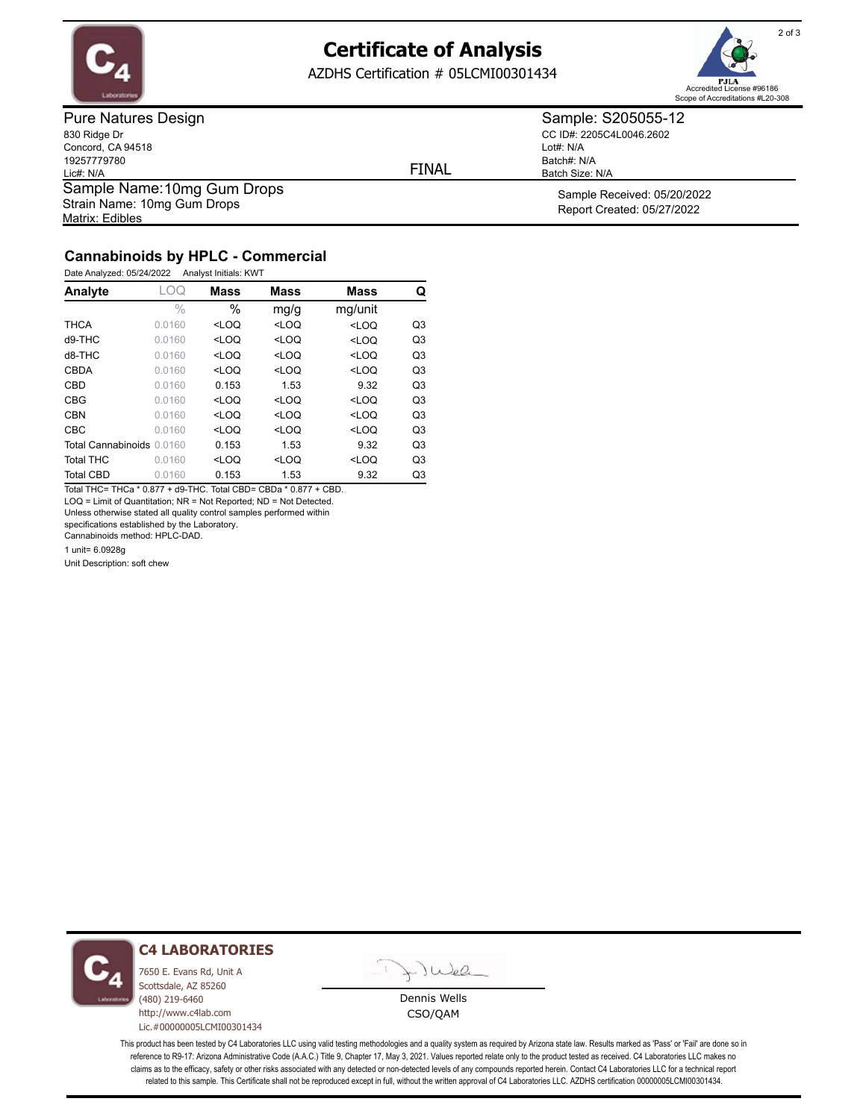

## **Certificate of Analysis**

AZDHS Certification # 05LCMI00301434



Pure Natures Design 830 Ridge Dr Concord, CA 94518 19257779780 Lic#: N/A Matrix: Edibles Sample Name: 10mg Gum Drops Strain Name: 10mg Gum Drops

FINAL

Lot#: N/A

Batch#: N/A Batch Size: N/A

Sample: S205055-12 CC ID#: 2205C4L0046.2602

> Sample Received: 05/20/2022 Report Created: 05/27/2022

#### **Cannabinoids by HPLC - Commercial**

| Date Analyzed: 05/24/2022 | Analyst Initials: KWT |
|---------------------------|-----------------------|
|                           |                       |

| Analyte                   | LOQ    | <b>Mass</b> | <b>Mass</b> | <b>Mass</b> | Q              |
|---------------------------|--------|-------------|-------------|-------------|----------------|
|                           | $\%$   | $\%$        | mq/q        | mg/unit     |                |
| <b>THCA</b>               | 0.0160 | $<$ LOO     | $<$ LOO     | $<$ LOQ     | Q3             |
| $d9-THC$                  | 0.0160 | $<$ LOQ     | $<$ LOQ     | $<$ LOQ     | Q3             |
| d8-THC                    | 0.0160 | $<$ LOQ     | $<$ LOQ     | $<$ LOQ     | Q <sub>3</sub> |
| <b>CBDA</b>               | 0.0160 | $<$ LOO     | $<$ LOO     | $<$ LOQ     | Q <sub>3</sub> |
| CBD                       | 0.0160 | 0.153       | 1.53        | 9.32        | Q3             |
| <b>CBG</b>                | 0.0160 | $<$ LOQ     | $<$ LOQ     | $<$ LOQ     | Q <sub>3</sub> |
| <b>CBN</b>                | 0.0160 | $<$ LOO     | $<$ LOQ     | $<$ LOQ     | Q <sub>3</sub> |
| <b>CBC</b>                | 0.0160 | $<$ LOQ     | $<$ LOQ     | $<$ LOQ     | Q <sub>3</sub> |
| Total Cannabinoids 0.0160 |        | 0.153       | 1.53        | 9.32        | Q <sub>3</sub> |
| <b>Total THC</b>          | 0.0160 | $<$ LOQ     | $<$ LOQ     | $<$ LOQ     | Q <sub>3</sub> |
| <b>Total CBD</b>          | 0.0160 | 0.153       | 1.53        | 9.32        | Q3             |

Total THC= THCa \* 0.877 + d9-THC. Total CBD= CBDa \* 0.877 + CBD. LOQ = Limit of Quantitation; NR = Not Reported; ND = Not Detected.

Unless otherwise stated all quality control samples performed within

specifications established by the Laboratory.

Cannabinoids method: HPLC-DAD.

1 unit= 6.0928g

Unit Description: soft chew

**C4 LABORATORIES**

7650 E. Evans Rd, Unit A Scottsdale, AZ 85260 (480) 219-6460 http://www.c4lab.com Lic.#00000005LCMI00301434 Juea

Dennis Wells CSO/QAM

This product has been tested by C4 Laboratories LLC using valid testing methodologies and a quality system as required by Arizona state law. Results marked as 'Pass' or 'Fail' are done so in reference to R9-17: Arizona Administrative Code (A.A.C.) Title 9, Chapter 17, May 3, 2021. Values reported relate only to the product tested as received. C4 Laboratories LLC makes no claims as to the efficacy, safety or other risks associated with any detected or non-detected levels of any compounds reported herein. Contact C4 Laboratories LLC for a technical report related to this sample. This Certificate shall not be reproduced except in full, without the written approval of C4 Laboratories LLC. AZDHS certification 00000005LCMI00301434.

2 of 3